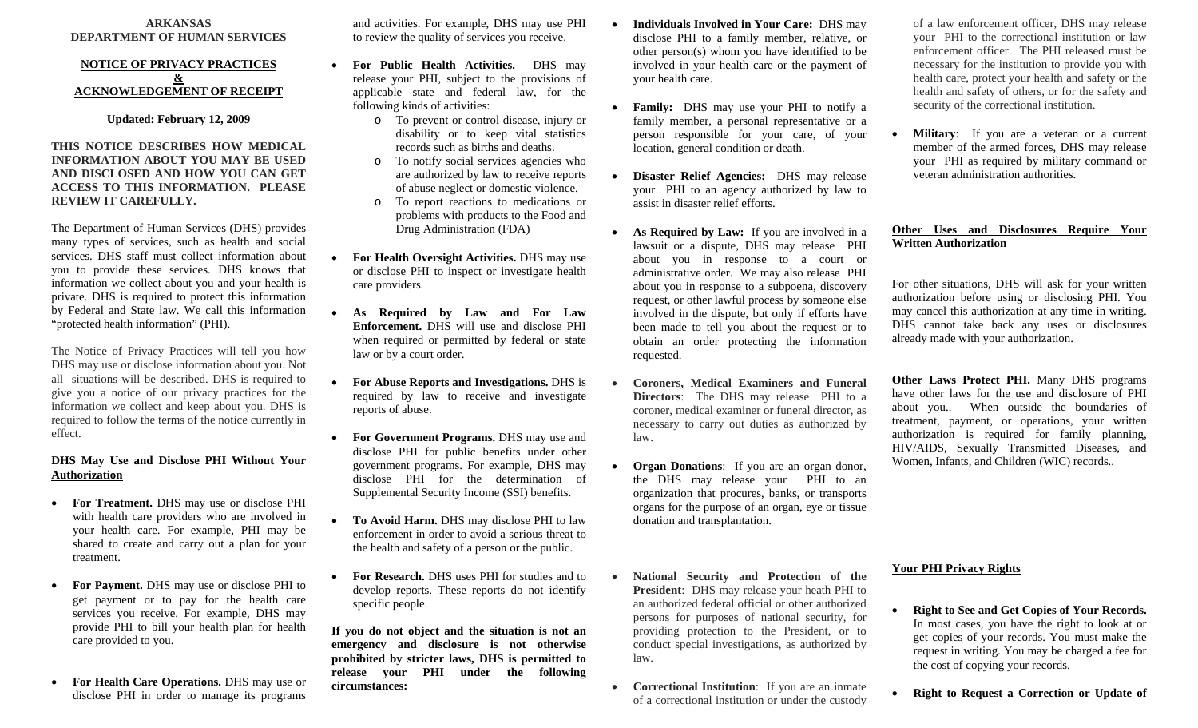#### **ARKANSAS DEPARTMENT OF HUMAN SERVICES**

#### **NOTICE OF PRIVACY PRACTICES & ACKNOWLEDGEMENT OF RECEIPT**

**Updated: February 12, 2009** 

#### **THIS NOTICE DESCRIBES HOW MEDICAL INFORMATION ABOUT YOU MAY BE USED AND DISCLOSED AND HOW YOU CAN GET ACCESS TO THIS INFORMATION. PLEASE REVIEW IT CAREFULLY.**

The Department of Human Services (DHS) provides many types of services, such as health and social services. DHS staff must collect information about you to provide these services. DHS knows that information we collect about you and your health is private. DHS is required to protect this information by Federal and State law. We call this information "protected health information" (PHI).

The Notice of Privacy Practices will tell you how DHS may use or disclose information about you. Not all situations will be described. DHS is required to give you a notice of our privacy practices for the information we collect and keep about you. DHS is required to follow the terms of the notice currently in effect.

### **DHS May Use and Disclose PHI Without Your Authorization**

- **For Treatment.** DHS may use or disclose PHI with health care providers who are involved in your health care. For example, PHI may be shared to create and carry out a plan for your treatment.
- **For Payment.** DHS may use or disclose PHI to get payment or to pay for the health care services you receive. For example, DHS may provide PHI to bill your health plan for health care provided to you.
- **For Health Care Operations.** DHS may use or disclose PHI in order to manage its programs

and activities. For example, DHS may use PHI to review the quality of services you receive.

- 0 **For Public Health Activities.** DHS may release your PHI, subject to the provisions of applicable state and federal law, for the following kinds of activities:
	- o To prevent or control disease, injury or disability or to keep vital statistics records such as births and deaths.
	- o To notify social services agencies who are authorized by law to receive reports of abuse neglect or domestic violence.
	- o To report reactions to medications or problems with products to the Food and Drug Administration (FDA)
- 0 **For Health Oversight Activities.** DHS may use or disclose PHI to inspect or investigate health care providers.
- **As Required by Law and For Law Enforcement.** DHS will use and disclose PHI when required or permitted by federal or state law or by a court order.

0

- 0 **For Abuse Reports and Investigations.** DHS is required by law to receive and investigate reports of abuse.
- e **For Government Programs.** DHS may use and disclose PHI for public benefits under other government programs. For example, DHS may disclose PHI for the determination of Supplemental Security Income (SSI) benefits.
- e **To Avoid Harm.** DHS may disclose PHI to law enforcement in order to avoid a serious threat to the health and safety of a person or the public.
- 0 **For Research.** DHS uses PHI for studies and to develop reports. These reports do not identify specific people.

**If you do not object and the situation is not an emergency and disclosure is not otherwise prohibited by stricter laws, DHS is permitted to release your PHI under the following circumstances:** 

 **Individuals Involved in Your Care:** DHS may disclose PHI to a family member, relative, or other person(s) whom you have identified to be involved in your health care or the payment of your health care.

0

- **Family:** DHS may use your PHI to notify a family member, a personal representative or a person responsible for your care, of your location, general condition or death.
- $\bullet$  **Disaster Relief Agencies:** DHS may release your PHI to an agency authorized by law to assist in disaster relief efforts.
- $\bullet$  **As Required by Law:** If you are involved in a lawsuit or a dispute, DHS may release PHI about you in response to a court or administrative order. We may also release PHI about you in response to a subpoena, discovery request, or other lawful process by someone else involved in the dispute, but only if efforts have been made to tell you about the request or to obtain an order protecting the information requested.
- $\bullet$  **Coroners, Medical Examiners and Funeral Directors**: The DHS may release PHI to a coroner, medical examiner or funeral director, as necessary to carry out duties as authorized by law.
- 0 **Organ Donations**: If you are an organ donor, the DHS may release your PHI to an organization that procures, banks, or transports organs for the purpose of an organ, eye or tissue donation and transplantation.
- $\bullet$  **National Security and Protection of the President**: DHS may release your heath PHI to an authorized federal official or other authorized persons for purposes of national security, for providing protection to the President, or to conduct special investigations, as authorized by law.
- 0 **Correctional Institution**: If you are an inmate of a correctional institution or under the custody

of a law enforcement officer, DHS may release your PHI to the correctional institution or law enforcement officer. The PHI released must be necessary for the institution to provide you with health care, protect your health and safety or the health and safety of others, or for the safety and security of the correctional institution.

. **Military**: If you are a veteran or a current member of the armed forces, DHS may release your PHI as required by military command or veteran administration authorities.

#### **Other Uses and Disclosures Require Your Written Authorization**

For other situations, DHS will ask for your written authorization before using or disclosing PHI. You may cancel this authorization at any time in writing. DHS cannot take back any uses or disclosures already made with your authorization.

**Other Laws Protect PHI.** Many DHS programs have other laws for the use and disclosure of PHI about you.. When outside the boundaries of treatment, payment, or operations, your written authorization is required for family planning, HIV/AIDS, Sexually Transmitted Diseases, and Women, Infants, and Children (WIC) records..

#### **Your PHI Privacy Rights**

- . **Right to See and Get Copies of Your Records.**  In most cases, you have the right to look at or get copies of your records. You must make the request in writing. You may be charged a fee for the cost of copying your records.
- **Right to Request a Correction or Update of**